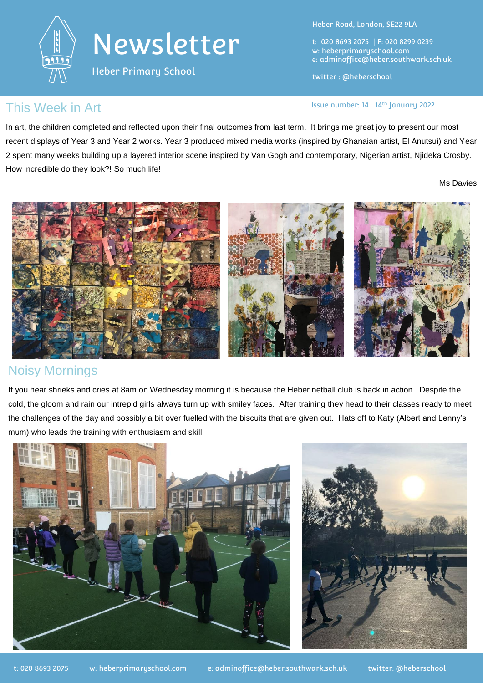

Heber Primary School

Heber Road, London, SE22 9LA

t: 020 8693 2075 | F: 020 8299 0239 w: heberprimaryschool.com e: [adminoffice@heber.southwark.sch.uk](mailto:adminoffice@heber.southwark.sch.uk)

twitter : @heberschool

Issue number: 14 14th January 2022

#### This Week in Art

In art, the children completed and reflected upon their final outcomes from last term. It brings me great joy to present our most recent displays of Year 3 and Year 2 works. Year 3 produced mixed media works (inspired by Ghanaian artist, El Anutsui) and Year 2 spent many weeks building up a layered interior scene inspired by Van Gogh and contemporary, Nigerian artist, Njideka Crosby. How incredible do they look?! So much life!

Ms Davies



# Noisy Mornings

If you hear shrieks and cries at 8am on Wednesday morning it is because the Heber netball club is back in action. Despite the cold, the gloom and rain our intrepid girls always turn up with smiley faces. After training they head to their classes ready to meet the challenges of the day and possibly a bit over fuelled with the biscuits that are given out. Hats off to Katy (Albert and Lenny's mum) who leads the training with enthusiasm and skill.

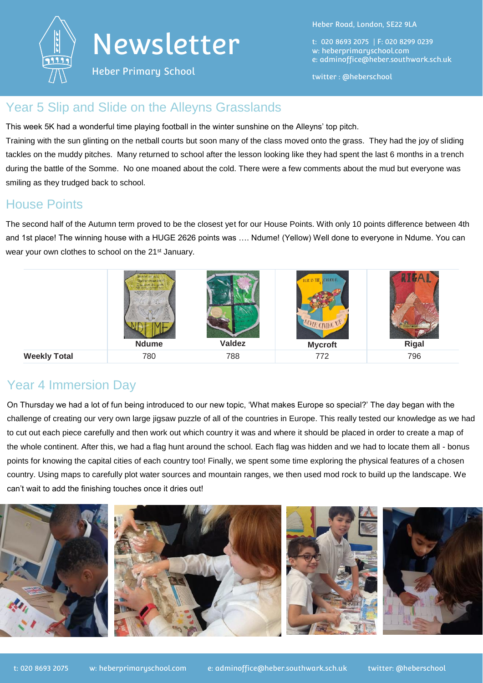

Heber Primary School

Heber Road, London, SE22 9LA

t: 020 8693 2075 | F: 020 8299 0239 w: heberprimaryschool.com e: [adminoffice@heber.southwark.sch.uk](mailto:adminoffice@heber.southwark.sch.uk)

twitter : @heberschool

### Year 5 Slip and Slide on the Alleyns Grasslands

This week 5K had a wonderful time playing football in the winter sunshine on the Alleyns' top pitch. Training with the sun glinting on the netball courts but soon many of the class moved onto the grass. They had the joy of sliding tackles on the muddy pitches. Many returned to school after the lesson looking like they had spent the last 6 months in a trench during the battle of the Somme. No one moaned about the cold. There were a few comments about the mud but everyone was smiling as they trudged back to school.

### House Points

The second half of the Autumn term proved to be the closest yet for our House Points. With only 10 points difference between 4th and 1st place! The winning house with a HUGE 2626 points was …. Ndume! (Yellow) Well done to everyone in Ndume. You can wear your own clothes to school on the 21<sup>st</sup> January.



# Year 4 Immersion Day

On Thursday we had a lot of fun being introduced to our new topic, 'What makes Europe so special?' The day began with the challenge of creating our very own large jigsaw puzzle of all of the countries in Europe. This really tested our knowledge as we had to cut out each piece carefully and then work out which country it was and where it should be placed in order to create a map of the whole continent. After this, we had a flag hunt around the school. Each flag was hidden and we had to locate them all - bonus points for knowing the capital cities of each country too! Finally, we spent some time exploring the physical features of a chosen country. Using maps to carefully plot water sources and mountain ranges, we then used mod rock to build up the landscape. We can't wait to add the finishing touches once it dries out!

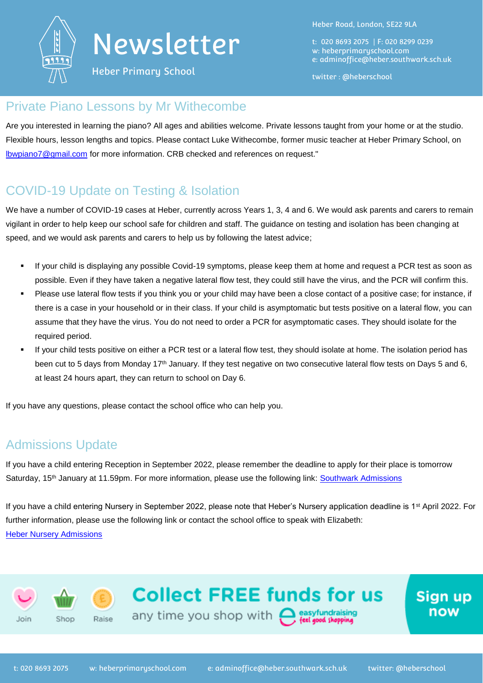

Heber Primary School

Heber Road, London, SE22 9LA

t: 020 8693 2075 | F: 020 8299 0239 w: heberprimaryschool.com e: [adminoffice@heber.southwark.sch.uk](mailto:adminoffice@heber.southwark.sch.uk)

twitter : @heberschool

### Private Piano Lessons by Mr Withecombe

Are you interested in learning the piano? All ages and abilities welcome. Private lessons taught from your home or at the studio. Flexible hours, lesson lengths and topics. Please contact Luke Withecombe, former music teacher at Heber Primary School, on [lbwpiano7@gmail.com](mailto:lbwpiano7@gmail.com) for more information. CRB checked and references on request."

# COVID-19 Update on Testing & Isolation

We have a number of COVID-19 cases at Heber, currently across Years 1, 3, 4 and 6. We would ask parents and carers to remain vigilant in order to help keep our school safe for children and staff. The guidance on testing and isolation has been changing at speed, and we would ask parents and carers to help us by following the latest advice;

- If your child is displaying any possible Covid-19 symptoms, please keep them at home and request a PCR test as soon as possible. Even if they have taken a negative lateral flow test, they could still have the virus, and the PCR will confirm this.
- Please use lateral flow tests if you think you or your child may have been a close contact of a positive case; for instance, if there is a case in your household or in their class. If your child is asymptomatic but tests positive on a lateral flow, you can assume that they have the virus. You do not need to order a PCR for asymptomatic cases. They should isolate for the required period.
- If your child tests positive on either a PCR test or a lateral flow test, they should isolate at home. The isolation period has been cut to 5 days from Monday 17<sup>th</sup> January. If they test negative on two consecutive lateral flow tests on Days 5 and 6, at least 24 hours apart, they can return to school on Day 6.

If you have any questions, please contact the school office who can help you.

# Admissions Update

If you have a child entering Reception in September 2022, please remember the deadline to apply for their place is tomorrow Saturday, 15<sup>th</sup> January at 11.59pm. For more information, please use the following link: [Southwark Admissions](https://www.southwark.gov.uk/schools-and-education/school-admissions/primary-admissions/applying-for-a-primary-school-place)

If you have a child entering Nursery in September 2022, please note that Heber's Nursery application deadline is 1<sup>st</sup> April 2022. For further information, please use the following link or contact the school office to speak with Elizabeth: [Heber Nursery Admissions](https://heberprimaryschool.com/about/admissions/)